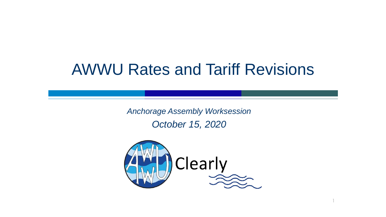# AWWU Rates and Tariff Revisions

*Anchorage Assembly Worksession October 15, 2020*



1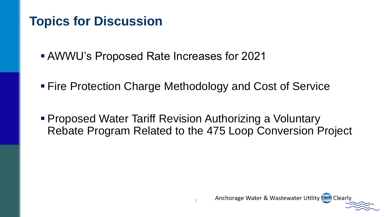## **Topics for Discussion**

■ AWWU's Proposed Rate Increases for 2021

- Fire Protection Charge Methodology and Cost of Service
- **Proposed Water Tariff Revision Authorizing a Voluntary** Rebate Program Related to the 475 Loop Conversion Project

Anchorage Water & Wastewater Utility (1949) Clearly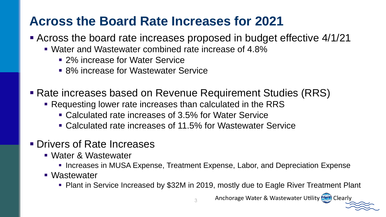## **Across the Board Rate Increases for 2021**

- Across the board rate increases proposed in budget effective 4/1/21
	- Water and Wastewater combined rate increase of 4.8%
		- 2% increase for Water Service
		- 8% increase for Wastewater Service
- Rate increases based on Revenue Requirement Studies (RRS)
	- Requesting lower rate increases than calculated in the RRS
		- Calculated rate increases of 3.5% for Water Service
		- Calculated rate increases of 11.5% for Wastewater Service
- **Drivers of Rate Increases** 
	- Water & Wastewater
		- **Increases in MUSA Expense, Treatment Expense, Labor, and Depreciation Expense**

3

- Wastewater
	- Plant in Service Increased by \$32M in 2019, mostly due to Eagle River Treatment Plant

Anchorage Water & Wastewater Utility (1941) Clearly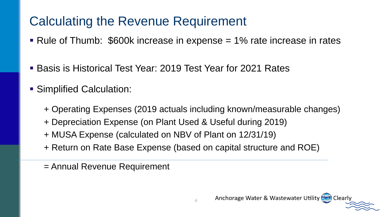## Calculating the Revenue Requirement

- $\blacksquare$  Rule of Thumb: \$600k increase in expense  $=$  1% rate increase in rates
- Basis is Historical Test Year: 2019 Test Year for 2021 Rates
- **E** Simplified Calculation:
	- + Operating Expenses (2019 actuals including known/measurable changes)
	- + Depreciation Expense (on Plant Used & Useful during 2019)
	- + MUSA Expense (calculated on NBV of Plant on 12/31/19)
	- + Return on Rate Base Expense (based on capital structure and ROE)
	- = Annual Revenue Requirement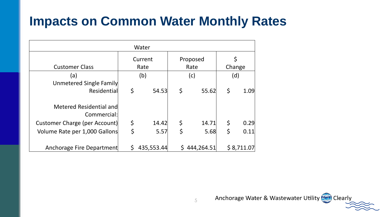## **Impacts on Common Water Monthly Rates**

| Water                                  |    |                     |    |            |    |            |  |  |  |  |
|----------------------------------------|----|---------------------|----|------------|----|------------|--|--|--|--|
|                                        |    | Current<br>Proposed |    |            |    | \$         |  |  |  |  |
| <b>Customer Class</b>                  |    | Rate                |    | Rate       |    | Change     |  |  |  |  |
| (a)                                    |    | (b)                 |    | (c)        |    | (d)        |  |  |  |  |
| Unmetered Single Family                |    |                     |    |            |    |            |  |  |  |  |
| Residential                            | \$ | 54.53               | \$ | 55.62      | \$ | 1.09       |  |  |  |  |
| Metered Residential and<br>Commercial: |    |                     |    |            |    |            |  |  |  |  |
| Customer Charge (per Account)          | \$ | 14.42               | \$ | 14.71      | \$ | 0.29       |  |  |  |  |
| Volume Rate per 1,000 Gallons          | \$ | 5.57                | \$ | 5.68       | \$ | 0.11       |  |  |  |  |
| Anchorage Fire Department              | Ś. | 435,553.44          |    | 444,264.51 |    | \$8,711.07 |  |  |  |  |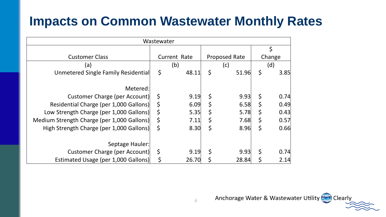## **Impacts on Common Wastewater Monthly Rates**

|                                            | Wastewater  |              |                      |             |        |
|--------------------------------------------|-------------|--------------|----------------------|-------------|--------|
|                                            |             |              |                      |             | \$     |
| <b>Customer Class</b>                      |             | Current Rate | <b>Proposed Rate</b> |             | Change |
| (a)                                        |             | (b)          | (c)                  |             | (d)    |
| Unmetered Single Family Residential        | \$          | 48.11        | \$<br>51.96          | \$          | 3.85   |
| Metered:                                   |             |              |                      |             |        |
| Customer Charge (per Account)              | \$          | 9.19         | \$<br>9.93           | \$          | 0.74   |
| Residential Charge (per 1,000 Gallons)     | \$          | 6.09         | \$<br>6.58           | \$          | 0.49   |
| Low Strength Charge (per 1,000 Gallons)    | \$          | 5.35         | \$<br>5.78           | $\varsigma$ | 0.43   |
| Medium Strength Charge (per 1,000 Gallons) | $\varsigma$ | 7.11         | \$<br>7.68           | \$          | 0.57   |
| High Strength Charge (per 1,000 Gallons)   | $\varsigma$ | 8.30         | \$<br>8.96           | $\varsigma$ | 0.66   |
| Septage Hauler:                            |             |              |                      |             |        |
| Customer Charge (per Account)              | \$          | 9.19         | \$<br>9.93           | \$          | 0.74   |
| Estimated Usage (per 1,000 Gallons)        | \$          | 26.70        | 28.84                | \$          | 2.14   |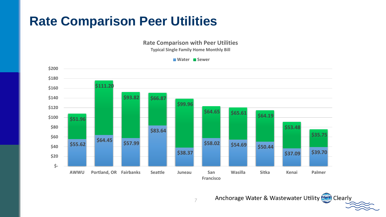## **Rate Comparison Peer Utilities**

**Rate Comparison with Peer Utilities**

**Typical Single Family Home Monthly Bill**



Anchorage Water & Wastewater Utility (1997) Clearly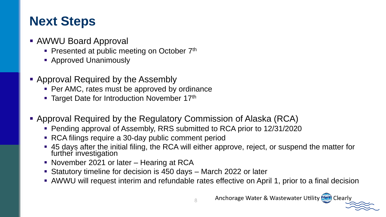## **Next Steps**

- AWWU Board Approval
	- **Presented at public meeting on October**  $7<sup>th</sup>$
	- **E** Approved Unanimously
- **Approval Required by the Assembly** 
	- Per AMC, rates must be approved by ordinance
	- Target Date for Introduction November 17<sup>th</sup>
- Approval Required by the Regulatory Commission of Alaska (RCA)
	- Pending approval of Assembly, RRS submitted to RCA prior to 12/31/2020
	- RCA filings require a 30-day public comment period
	- 45 days after the initial filing, the RCA will either approve, reject, or suspend the matter for further investigation
	- November 2021 or later Hearing at RCA
	- Statutory timeline for decision is 450 days March 2022 or later
	- **E** AWWU will request interim and refundable rates effective on April 1, prior to a final decision

8

Anchorage Water & Wastewater Utility (1997) Clearly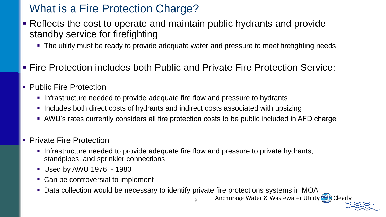### What is a Fire Protection Charge?

- Reflects the cost to operate and maintain public hydrants and provide standby service for firefighting
	- The utility must be ready to provide adequate water and pressure to meet firefighting needs
- Fire Protection includes both Public and Private Fire Protection Service:
- **Public Fire Protection** 
	- **.** Infrastructure needed to provide adequate fire flow and pressure to hydrants
	- **Includes both direct costs of hydrants and indirect costs associated with upsizing**
	- **AWU's rates currently considers all fire protection costs to be public included in AFD charge**
- **Private Fire Protection** 
	- **.** Infrastructure needed to provide adequate fire flow and pressure to private hydrants, standpipes, and sprinkler connections
	- Used by AWU 1976 1980
	- Can be controversial to implement
	- Data collection would be necessary to identify private fire protections systems in MOA<br>Anchorage Water & Wastewater Utility (ﷺ) clearly

9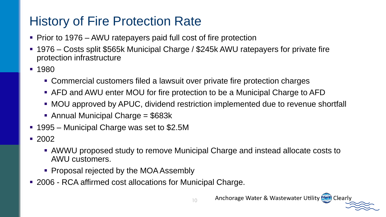## History of Fire Protection Rate

- Prior to 1976 AWU ratepayers paid full cost of fire protection
- 1976 Costs split \$565k Municipal Charge / \$245k AWU ratepayers for private fire protection infrastructure
- 1980
	- Commercial customers filed a lawsuit over private fire protection charges
	- AFD and AWU enter MOU for fire protection to be a Municipal Charge to AFD
	- MOU approved by APUC, dividend restriction implemented due to revenue shortfall
	- Annual Municipal Charge = \$683k
- 1995 Municipal Charge was set to \$2.5M
- 2002
	- AWWU proposed study to remove Municipal Charge and instead allocate costs to AWU customers.
	- Proposal rejected by the MOA Assembly
- 2006 RCA affirmed cost allocations for Municipal Charge.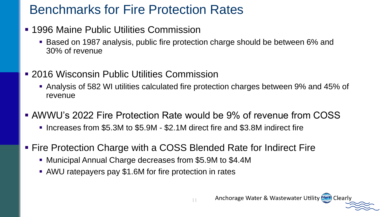## Benchmarks for Fire Protection Rates

- 1996 Maine Public Utilities Commission
	- Based on 1987 analysis, public fire protection charge should be between 6% and 30% of revenue
- 2016 Wisconsin Public Utilities Commission
	- Analysis of 582 WI utilities calculated fire protection charges between 9% and 45% of revenue
- **AWWU's 2022 Fire Protection Rate would be 9% of revenue from COSS** 
	- Increases from \$5.3M to \$5.9M \$2.1M direct fire and \$3.8M indirect fire
- Fire Protection Charge with a COSS Blended Rate for Indirect Fire
	- Municipal Annual Charge decreases from \$5.9M to \$4.4M
	- AWU ratepayers pay \$1.6M for fire protection in rates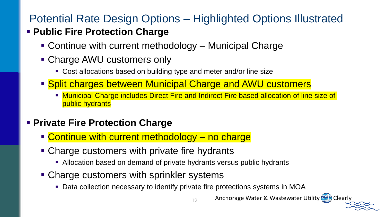## Potential Rate Design Options – Highlighted Options Illustrated

#### ▪ **Public Fire Protection Charge**

- Continue with current methodology Municipal Charge
- Charge AWU customers only
	- Cost allocations based on building type and meter and/or line size
- Split charges between Municipal Charge and AWU customers
	- **Interal Charge includes Direct Fire and Indirect Fire based allocation of line size of** public hydrants

#### **Example Fire Protection Charge**

- **Example 10 Continue with current methodology no charge**
- Charge customers with private fire hydrants
	- **EXTE Allocation based on demand of private hydrants versus public hydrants**
- Charge customers with sprinkler systems
	- Data collection necessary to identify private fire protections systems in MOA

12

Anchorage Water & Wastewater Utility (1941) Clearly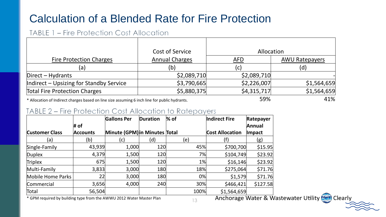### Calculation of a Blended Rate for Fire Protection

#### TABLE 1 - Fire Protection Cost Allocation

|                                                                                                                            | <b>Cost of Service</b> | Allocation   |                       |  |  |  |
|----------------------------------------------------------------------------------------------------------------------------|------------------------|--------------|-----------------------|--|--|--|
| <b>Fire Protection Charges</b>                                                                                             | <b>Annual Charges</b>  | <b>AFD</b>   | <b>AWU Ratepayers</b> |  |  |  |
| (a)                                                                                                                        | (b)                    | $\mathsf{C}$ | (d)                   |  |  |  |
| $Direct - Hydrants$                                                                                                        | \$2,089,710            | \$2,089,710  |                       |  |  |  |
| Indirect – Upsizing for Standby Service                                                                                    | \$3,790,665            | \$2,226,007  | \$1,564,659           |  |  |  |
| <b>Total Fire Protection Charges</b>                                                                                       | \$5,880,375            | \$4,315,717  | \$1,564,659           |  |  |  |
| . مقدم من المناطق المستقلة المستقل المستقلة المستقلة المستقل المستقل المستقلة المستقلة المستقلة المستقلة المستقلة المستقلة |                        | 59%          | $41\%$                |  |  |  |

13

\* Allocation of Indirect charges based on line size assuming 6 inch line for public hydrants.  $\overline{1}$  and  $\overline{1}$  and  $\overline{1}$  and  $\overline{1}$  and  $\overline{1}$  and  $\overline{1}$  and  $\overline{1}$  and  $\overline{1}$  and  $\overline{1}$  and  $\overline{1}$  an

#### TABLE 2 – Fire Protection Cost Allocation to Ratepayers

|                       | # of            | <b>Gallons Per</b>            | Duration | $%$ of | <b>Indirect Fire</b>   | Ratepayer<br>Annual   |
|-----------------------|-----------------|-------------------------------|----------|--------|------------------------|-----------------------|
| <b>Customer Class</b> | <b>Accounts</b> | Minute (GPM) in Minutes Total |          |        | <b>Cost Allocation</b> | <b>Impact</b>         |
| (a)                   | (b)             | (c)                           | (d)      | (e)    | (f)                    | (g)                   |
| Single-Family         | 43,939          | 1,000                         | 120      | 45%    | \$700,700              | \$15.95               |
| Duplex                | 4,379           | 1,500                         | 120      |        | 7%<br>\$104,749        | \$23.92               |
| <b>Triplex</b>        | 675             | 1,500                         | 120      |        | 1%<br>\$16,146         | \$23.92               |
| Multi-Family          | 3,833           | 3,000                         | 180      | 18%    | \$275,064              | \$71.76               |
| Mobile Home Parks     | 22              | 3,000                         | 180      |        | 0%<br>\$1,579          | \$71.76               |
| Commercial            | 3,656           | 4,000                         | 240      | 30%    | \$466,421              | \$127.58              |
| Total                 | 56,504          |                               |          | 100%   | \$1,564,659            | $\sim\cdot\cdot$<br>. |

\* GPM required by building type from the AWWU 2012 Water Master Plan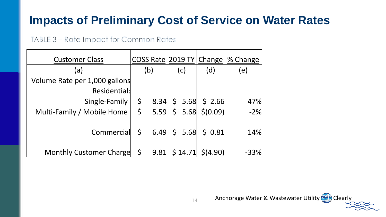### **Impacts of Preliminary Cost of Service on Water Rates**

#### TABLE 3 - Rate Impact for Common Rates

| <b>Customer Class</b>              |         |  |                    |                                    | COSS Rate 2019 TY Change % Change |
|------------------------------------|---------|--|--------------------|------------------------------------|-----------------------------------|
| (a)                                | (b)     |  | (c)                | (d)                                | (e)                               |
| Volume Rate per 1,000 gallons      |         |  |                    |                                    |                                   |
| Residential:                       |         |  |                    |                                    |                                   |
| Single-Family                      |         |  |                    | $\frac{1}{2}$ 8.34 \$ 5.68 \$ 2.66 | 47%                               |
| Multi-Family / Mobile Home         |         |  |                    | $$5.59 \t$ 5.68 \t$ (0.09)$        | $-2%$                             |
|                                    |         |  |                    |                                    |                                   |
| Commercial $\vert$ \$ 6.49 \$ 5.68 |         |  |                    | \$ 0.81                            | 14%                               |
|                                    |         |  |                    |                                    |                                   |
| <b>Monthly Customer Charge</b>     | $\zeta$ |  | $9.81 \;$ \$ 14.71 | \$(4.90)                           | $-33%$                            |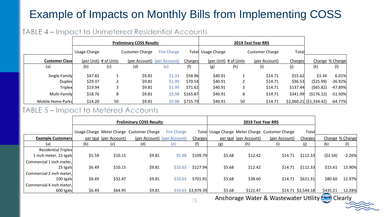### Example of Impacts on Monthly Bills from Implementing COSS

#### TABLE 4 - Impact to Unmetered Residential Accounts

|                       | <b>Preliminary COSS Results</b> |     |                             |                    |          |                    |                       |                        |          |                          |                 |
|-----------------------|---------------------------------|-----|-----------------------------|--------------------|----------|--------------------|-----------------------|------------------------|----------|--------------------------|-----------------|
|                       | Usage Charge                    |     | <b>Customer Charge</b>      | <b>Fire Charge</b> |          | Total Usage Charge |                       | <b>Customer Charge</b> | Total    |                          |                 |
| <b>Customer Class</b> | (per Unit) # of Units           |     | (per Account) (per Account) |                    | Charges  |                    | (per Unit) # of Units | (per Account)          | Charges  |                          | Change % Change |
| (a)                   | (b)                             | (c) | (d)                         | (e)                | (f)      | (g)                | (h)                   | (i)                    | (j)      | (k)                      | $($ l $)$       |
| Single-Family         | \$47.82                         |     | \$9.81                      | \$1.33             | \$58.96  | \$40.91            |                       | \$14.71                | \$55.62  | \$3.34                   | 6.01%           |
| <b>Duplex</b>         | \$29.37                         |     | \$9.81                      | \$1.99             | \$70.54  | \$40.91            |                       | \$14.71                | \$96.53  | (525.99)                 | $-26.92%$       |
| Triplex               | \$19.94                         |     | \$9.81                      | \$1.99             | \$71.62  | \$40.91            |                       | \$14.71                | \$137.44 | (565.82)                 | $-47.89%$       |
| Multi-Family          | \$18.76                         | 8   | \$9.81                      | \$5.98             | \$165.87 | \$40.91            | 8                     | \$14.71                | \$341.99 | (5176.12)                | $-51.50%$       |
| Mobile Home Parks     | \$14.20                         | 50  | \$9.81                      | \$5.98             | \$725.79 | \$40.91            | 50                    | \$14.71                |          | $$2,060.21$ (\$1,334.42) | $-64.77%$       |

#### TABLE 5 - Impact to Metered Accounts

|                            |        |                        | <b>Preliminary COSS Results</b>           |                    |                     |        |                        |                                                 |                      |                             |                 |
|----------------------------|--------|------------------------|-------------------------------------------|--------------------|---------------------|--------|------------------------|-------------------------------------------------|----------------------|-----------------------------|-----------------|
|                            |        |                        | Usage Charge Meter Charge Customer Charge | <b>Fire Charge</b> |                     |        |                        | Total Usage Charge Meter Charge Customer Charge | Total                |                             |                 |
| <b>Example Customers</b>   |        | per tgal (per Account) | (per Account) (per Account)               |                    | Charges             |        | per tgal (per Account) | (per Account)                                   | Charges              |                             | Change % Change |
| (a)                        | (b)    | (c)                    | (d)                                       | (e)                | (f)                 | (g)    | (h)                    | (i)                                             | (j)                  | (k)                         | (1)             |
| <b>Residential Triplex</b> |        |                        |                                           |                    |                     |        |                        |                                                 |                      |                             |                 |
| 1 inch meter, 15 tgals     | \$5.59 | \$10.15                | \$9.81                                    | \$5.98             | \$109.79            | \$5.68 | \$12.42                | \$14.71                                         | \$112.33             | (52.54)                     | $-2.26%$        |
| Commercial 1 inch meter,   |        |                        |                                           |                    |                     |        |                        |                                                 |                      |                             |                 |
| 15 tgals                   | \$6.49 | \$10.15                | \$9.81                                    | \$10.63            | \$127.94            | \$5.68 | \$12.42                | \$14.71                                         | \$112.33             | \$15.61                     | 13.90%          |
| Commercial 2 inch meter,   |        |                        |                                           |                    |                     |        |                        |                                                 |                      |                             |                 |
| 100 tgals                  | \$6.49 | \$32.47                | \$9.81                                    | \$10.63            | \$701.91            | \$5.68 | \$38.60                | \$14.71                                         | \$621.31             | \$80.60                     | 12.97%          |
| Commercial 4 inch meter,   |        |                        |                                           |                    |                     |        |                        |                                                 |                      |                             |                 |
| 600 tgals                  | \$6.49 | \$64.95                | \$9.81                                    |                    | $$10.63$ \$3,979.39 | \$5.68 | \$121.47               |                                                 | $$14.71$ $$3,544.18$ | \$435.21<br><b>Cilladin</b> | 12.28%          |

Anchorage Water & Wastewater Utility (AMI) Clearly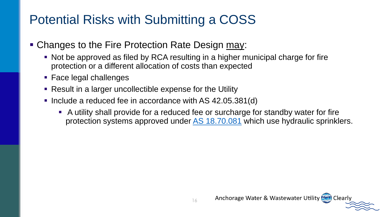## Potential Risks with Submitting a COSS

- Changes to the Fire Protection Rate Design may:
	- Not be approved as filed by RCA resulting in a higher municipal charge for fire protection or a different allocation of costs than expected
	- Face legal challenges
	- Result in a larger uncollectible expense for the Utility
	- Include a reduced fee in accordance with AS 42.05.381(d)
		- A utility shall provide for a reduced fee or surcharge for standby water for fire protection systems approved under [AS 18.70.081](http://www.legis.state.ak.us/basis/statutes.asp#18.70.081) which use hydraulic sprinklers.

Anchorage Water & Wastewater Utility (1949) Clearly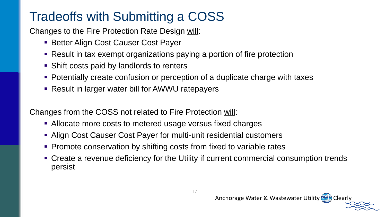## Tradeoffs with Submitting a COSS

Changes to the Fire Protection Rate Design will:

- **Example: Better Align Cost Causer Cost Payer**
- Result in tax exempt organizations paying a portion of fire protection
- Shift costs paid by landlords to renters
- Potentially create confusion or perception of a duplicate charge with taxes
- Result in larger water bill for AWWU ratepayers

Changes from the COSS not related to Fire Protection will:

- Allocate more costs to metered usage versus fixed charges
- Align Cost Causer Cost Payer for multi-unit residential customers
- Promote conservation by shifting costs from fixed to variable rates
- Create a revenue deficiency for the Utility if current commercial consumption trends persist

Anchorage Water & Wastewater Utility (WI) Clearly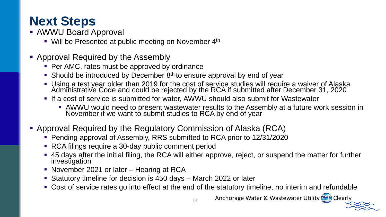## **Next Steps**

- AWWU Board Approval
	- Will be Presented at public meeting on November 4<sup>th</sup>
- Approval Required by the Assembly
	- Per AMC, rates must be approved by ordinance
	- **Should be introduced by December 8th to ensure approval by end of year**
	- Using a test year older than 2019 for the cost of service studies will require a waiver of Alaska Administrative Code and could be rejected by the RCA if submitted after December 31, 2020
	- **.** If a cost of service is submitted for water, AWWU should also submit for Wastewater
		- **AWWU would need to present wastewater results to the Assembly at a future work session in** November if we want to submit studies to RCA by end of year
- **E** Approval Required by the Regulatory Commission of Alaska (RCA)
	- Pending approval of Assembly, RRS submitted to RCA prior to 12/31/2020
	- RCA filings require a 30-day public comment period
	- 45 days after the initial filing, the RCA will either approve, reject, or suspend the matter for further investigation
	- November 2021 or later Hearing at RCA
	- Statutory timeline for decision is 450 days March 2022 or later
	- Cost of service rates go into effect at the end of the statutory timeline, no interim and refundable

Anchorage Water & Wastewater Utility (NH) Clearly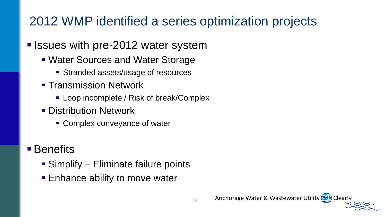## 2012 WMP identified a series optimization projects

#### **E** Issues with pre-2012 water system

- Water Sources and Water Storage
	- Stranded assets/usage of resources
- **Transmission Network** 
	- Loop incomplete / Risk of break/Complex
- **Distribution Network** 
	- Complex conveyance of water

### ■ Benefits

- Simplify Eliminate failure points
- Enhance ability to move water

Anchorage Water & Wastewater Utility (1997) Clearly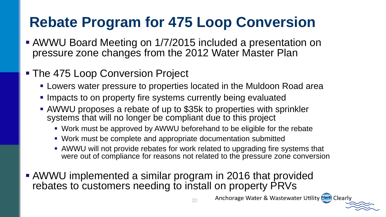# **Rebate Program for 475 Loop Conversion**

- **EXAMWU Board Meeting on 1/7/2015 included a presentation on** pressure zone changes from the 2012 Water Master Plan
- The 475 Loop Conversion Project
	- **EXELG** Lowers water pressure to properties located in the Muldoon Road area
	- **.** Impacts to on property fire systems currently being evaluated
	- AWWU proposes a rebate of up to \$35k to properties with sprinkler systems that will no longer be compliant due to this project
		- Work must be approved by AWWU beforehand to be eligible for the rebate
		- Work must be complete and appropriate documentation submitted
		- **EXAMWU will not provide rebates for work related to upgrading fire systems that** were out of compliance for reasons not related to the pressure zone conversion
- AWWU implemented a similar program in 2016 that provided rebates to customers needing to install on property PRVs

Anchorage Water & Wastewater Utility (WI) Clearly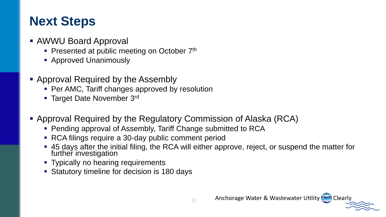## **Next Steps**

- AWWU Board Approval
	- **Presented at public meeting on October**  $7<sup>th</sup>$
	- Approved Unanimously
- Approval Required by the Assembly
	- Per AMC, Tariff changes approved by resolution
	- **Target Date November 3rd**
- Approval Required by the Regulatory Commission of Alaska (RCA)
	- Pending approval of Assembly, Tariff Change submitted to RCA
	- RCA filings require a 30-day public comment period
	- 45 days after the initial filing, the RCA will either approve, reject, or suspend the matter for further investigation
	- **Typically no hearing requirements**
	- Statutory timeline for decision is 180 days